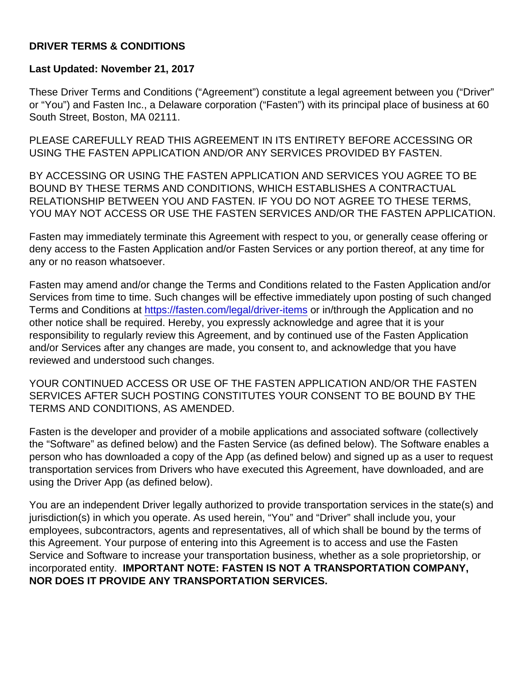#### DRIVER TERMS & CONDITIONS

Last Updated: November 21, 2017

These Driver Terms and Conditions ("Agreement") constitute a legal agreement between you ("Driver" or "You") and Fasten Inc., a Delaware corporation ("Fasten") with its principal place of business at 60 South Street, Boston, MA 02111.

PLEASE CAREFULLY READ THIS AGREEMENT IN ITS ENTIRETY BEFORE ACCESSING OR USING THE FASTEN APPLICATION AND/OR ANY SERVICES PROVIDED BY FASTEN.

BY ACCESSING OR USING THE FASTEN APPLICATION AND SERVICES YOU AGREE TO BE BOUND BY THESE TERMS AND CONDITIONS, WHICH ESTABLISHES A CONTRACTUAL RELATIONSHIP BETWEEN YOU AND FASTEN. IF YOU DO NOT AGREE TO THESE TERMS, YOU MAY NOT ACCESS OR USE THE FASTEN SERVICES AND/OR THE FASTEN APPLICATION.

Fasten may immediately terminate this Agreement with respect to you, or generally cease offering or deny access to the Fasten Application and/or Fasten Services or any portion thereof, at any time for any or no reason whatsoever.

Fasten may amend and/or change the Terms and Conditions related to the Fasten Application and/or Services from time to time. Such changes will be effective immediately upon posting of such changed Terms and Conditions at<https://fasten.com/legal/driver-items> or in/through the Application and no other notice shall be required. Hereby, you expressly acknowledge and agree that it is your responsibility to regularly review this Agreement, and by continued use of the Fasten Application and/or Services after any changes are made, you consent to, and acknowledge that you have reviewed and understood such changes.

YOUR CONTINUED ACCESS OR USE OF THE FASTEN APPLICATION AND/OR THE FASTEN SERVICES AFTER SUCH POSTING CONSTITUTES YOUR CONSENT TO BE BOUND BY THE TERMS AND CONDITIONS, AS AMENDED.

Fasten is the developer and provider of a mobile applications and associated software (collectively the "Software" as defined below) and the Fasten Service (as defined below). The Software enables a person who has downloaded a copy of the App (as defined below) and signed up as a user to request transportation services from Drivers who have executed this Agreement, have downloaded, and are using the Driver App (as defined below).

You are an independent Driver legally authorized to provide transportation services in the state(s) and jurisdiction(s) in which you operate. As used herein, "You" and "Driver" shall include you, your employees, subcontractors, agents and representatives, all of which shall be bound by the terms of this Agreement. Your purpose of entering into this Agreement is to access and use the Fasten Service and Software to increase your transportation business, whether as a sole proprietorship, or incorporated entity. IMPORTANT NOTE: FASTEN IS NOT A TRANSPORTATION COMPANY, NOR DOES IT PROVIDE ANY TRANSPORTATION SERVICES.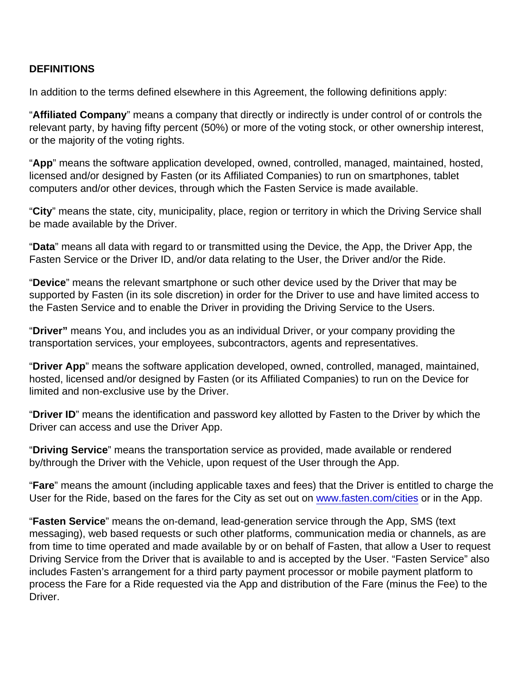#### **DEFINITIONS**

In addition to the terms defined elsewhere in this Agreement, the following definitions apply:

"Affiliated Company " means a company that directly or indirectly is under control of or controls the relevant party, by having fifty percent (50%) or more of the voting stock, or other ownership interest, or the majority of the voting rights.

"App " means the software application developed, owned, controlled, managed, maintained, hosted, licensed and/or designed by Fasten (or its Affiliated Companies) to run on smartphones, tablet computers and/or other devices, through which the Fasten Service is made available.

"City " means the state, city, municipality, place, region or territory in which the Driving Service shall be made available by the Driver.

"Data" means all data with regard to or transmitted using the Device, the App, the Driver App, the Fasten Service or the Driver ID, and/or data relating to the User, the Driver and/or the Ride.

"Device " means the relevant smartphone or such other device used by the Driver that may be supported by Fasten (in its sole discretion) in order for the Driver to use and have limited access to the Fasten Service and to enable the Driver in providing the Driving Service to the Users.

"Driver" means You, and includes you as an individual Driver, or your company providing the transportation services, your employees, subcontractors, agents and representatives.

"Driver App " means the software application developed, owned, controlled, managed, maintained, hosted, licensed and/or designed by Fasten (or its Affiliated Companies) to run on the Device for limited and non-exclusive use by the Driver.

"Driver ID " means the identification and password key allotted by Fasten to the Driver by which the Driver can access and use the Driver App.

"Driving Service " means the transportation service as provided, made available or rendered by/through the Driver with the Vehicle, upon request of the User through the App.

"Fare" means the amount (including applicable taxes and fees) that the Driver is entitled to charge the User for the Ride, based on the fares for the City as set out on [www.fasten.com/cities](http://www.fasten.com/cities) or in the App.

"Fasten Service " means the on-demand, lead-generation service through the App, SMS (text messaging), web based requests or such other platforms, communication media or channels, as are from time to time operated and made available by or on behalf of Fasten, that allow a User to request Driving Service from the Driver that is available to and is accepted by the User. "Fasten Service" also includes Fasten's arrangement for a third party payment processor or mobile payment platform to process the Fare for a Ride requested via the App and distribution of the Fare (minus the Fee) to the Driver.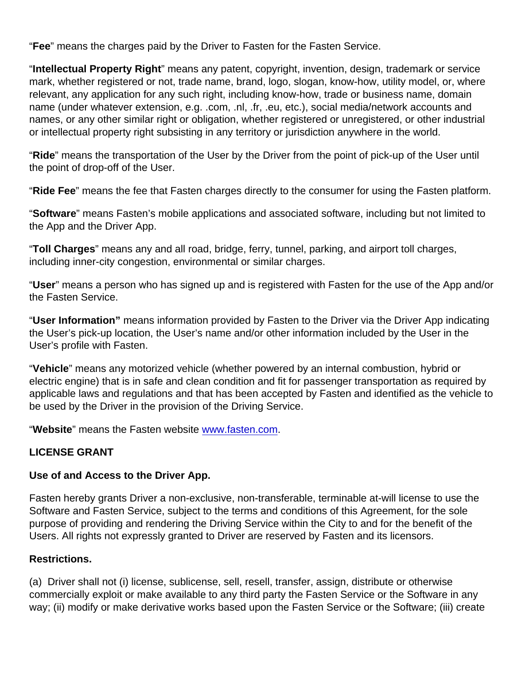"Fee" means the charges paid by the Driver to Fasten for the Fasten Service.

"Intellectual Property Right " means any patent, copyright, invention, design, trademark or service mark, whether registered or not, trade name, brand, logo, slogan, know-how, utility model, or, where relevant, any application for any such right, including know-how, trade or business name, domain name (under whatever extension, e.g. .com, .nl, .fr, .eu, etc.), social media/network accounts and names, or any other similar right or obligation, whether registered or unregistered, or other industrial or intellectual property right subsisting in any territory or jurisdiction anywhere in the world.

"Ride" means the transportation of the User by the Driver from the point of pick-up of the User until the point of drop-off of the User.

"Ride Fee" means the fee that Fasten charges directly to the consumer for using the Fasten platform.

"Software " means Fasten's mobile applications and associated software, including but not limited to the App and the Driver App.

"Toll Charges " means any and all road, bridge, ferry, tunnel, parking, and airport toll charges, including inner-city congestion, environmental or similar charges.

"User" means a person who has signed up and is registered with Fasten for the use of the App and/or the Fasten Service.

"User Information" means information provided by Fasten to the Driver via the Driver App indicating the User's pick-up location, the User's name and/or other information included by the User in the User's profile with Fasten.

"Vehicle " means any motorized vehicle (whether powered by an internal combustion, hybrid or electric engine) that is in safe and clean condition and fit for passenger transportation as required by applicable laws and regulations and that has been accepted by Fasten and identified as the vehicle to be used by the Driver in the provision of the Driving Service.

"Website " means the Fasten website [www.fasten.com.](http://www.fasten.com)

#### LICENSE GRANT

Use of and Access to the Driver App.

Fasten hereby grants Driver a non-exclusive, non-transferable, terminable at-will license to use the Software and Fasten Service, subject to the terms and conditions of this Agreement, for the sole purpose of providing and rendering the Driving Service within the City to and for the benefit of the Users. All rights not expressly granted to Driver are reserved by Fasten and its licensors.

#### Restrictions.

(a) Driver shall not (i) license, sublicense, sell, resell, transfer, assign, distribute or otherwise commercially exploit or make available to any third party the Fasten Service or the Software in any way; (ii) modify or make derivative works based upon the Fasten Service or the Software; (iii) create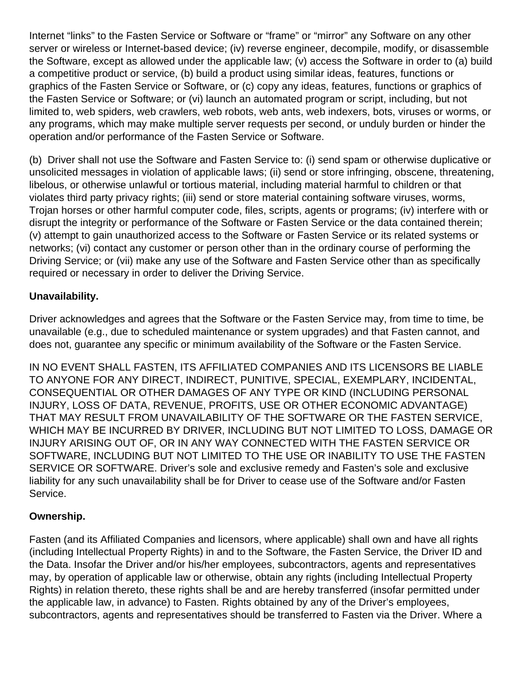Internet "links" to the Fasten Service or Software or "frame" or "mirror" any Software on any other server or wireless or Internet-based device; (iv) reverse engineer, decompile, modify, or disassemble the Software, except as allowed under the applicable law; (v) access the Software in order to (a) build a competitive product or service, (b) build a product using similar ideas, features, functions or graphics of the Fasten Service or Software, or (c) copy any ideas, features, functions or graphics of the Fasten Service or Software; or (vi) launch an automated program or script, including, but not limited to, web spiders, web crawlers, web robots, web ants, web indexers, bots, viruses or worms, or any programs, which may make multiple server requests per second, or unduly burden or hinder the operation and/or performance of the Fasten Service or Software.

(b) Driver shall not use the Software and Fasten Service to: (i) send spam or otherwise duplicative or unsolicited messages in violation of applicable laws; (ii) send or store infringing, obscene, threatening, libelous, or otherwise unlawful or tortious material, including material harmful to children or that violates third party privacy rights; (iii) send or store material containing software viruses, worms, Trojan horses or other harmful computer code, files, scripts, agents or programs; (iv) interfere with or disrupt the integrity or performance of the Software or Fasten Service or the data contained therein; (v) attempt to gain unauthorized access to the Software or Fasten Service or its related systems or networks; (vi) contact any customer or person other than in the ordinary course of performing the Driving Service; or (vii) make any use of the Software and Fasten Service other than as specifically required or necessary in order to deliver the Driving Service.

## **Unavailability.**

Driver acknowledges and agrees that the Software or the Fasten Service may, from time to time, be unavailable (e.g., due to scheduled maintenance or system upgrades) and that Fasten cannot, and does not, guarantee any specific or minimum availability of the Software or the Fasten Service.

IN NO EVENT SHALL FASTEN, ITS AFFILIATED COMPANIES AND ITS LICENSORS BE LIABLE TO ANYONE FOR ANY DIRECT, INDIRECT, PUNITIVE, SPECIAL, EXEMPLARY, INCIDENTAL, CONSEQUENTIAL OR OTHER DAMAGES OF ANY TYPE OR KIND (INCLUDING PERSONAL INJURY, LOSS OF DATA, REVENUE, PROFITS, USE OR OTHER ECONOMIC ADVANTAGE) THAT MAY RESULT FROM UNAVAILABILITY OF THE SOFTWARE OR THE FASTEN SERVICE, WHICH MAY BE INCURRED BY DRIVER, INCLUDING BUT NOT LIMITED TO LOSS, DAMAGE OR INJURY ARISING OUT OF, OR IN ANY WAY CONNECTED WITH THE FASTEN SERVICE OR SOFTWARE, INCLUDING BUT NOT LIMITED TO THE USE OR INABILITY TO USE THE FASTEN SERVICE OR SOFTWARE. Driver's sole and exclusive remedy and Fasten's sole and exclusive liability for any such unavailability shall be for Driver to cease use of the Software and/or Fasten Service.

### **Ownership.**

Fasten (and its Affiliated Companies and licensors, where applicable) shall own and have all rights (including Intellectual Property Rights) in and to the Software, the Fasten Service, the Driver ID and the Data. Insofar the Driver and/or his/her employees, subcontractors, agents and representatives may, by operation of applicable law or otherwise, obtain any rights (including Intellectual Property Rights) in relation thereto, these rights shall be and are hereby transferred (insofar permitted under the applicable law, in advance) to Fasten. Rights obtained by any of the Driver's employees, subcontractors, agents and representatives should be transferred to Fasten via the Driver. Where a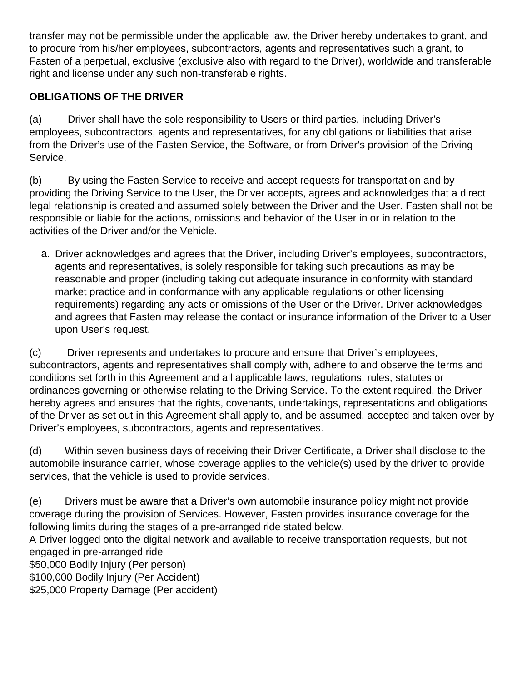transfer may not be permissible under the applicable law, the Driver hereby undertakes to grant, and to procure from his/her employees, subcontractors, agents and representatives such a grant, to Fasten of a perpetual, exclusive (exclusive also with regard to the Driver), worldwide and transferable right and license under any such non-transferable rights.

# **OBLIGATIONS OF THE DRIVER**

(a) Driver shall have the sole responsibility to Users or third parties, including Driver's employees, subcontractors, agents and representatives, for any obligations or liabilities that arise from the Driver's use of the Fasten Service, the Software, or from Driver's provision of the Driving Service.

(b) By using the Fasten Service to receive and accept requests for transportation and by providing the Driving Service to the User, the Driver accepts, agrees and acknowledges that a direct legal relationship is created and assumed solely between the Driver and the User. Fasten shall not be responsible or liable for the actions, omissions and behavior of the User in or in relation to the activities of the Driver and/or the Vehicle.

a. Driver acknowledges and agrees that the Driver, including Driver's employees, subcontractors, agents and representatives, is solely responsible for taking such precautions as may be reasonable and proper (including taking out adequate insurance in conformity with standard market practice and in conformance with any applicable regulations or other licensing requirements) regarding any acts or omissions of the User or the Driver. Driver acknowledges and agrees that Fasten may release the contact or insurance information of the Driver to a User upon User's request.

(c) Driver represents and undertakes to procure and ensure that Driver's employees, subcontractors, agents and representatives shall comply with, adhere to and observe the terms and conditions set forth in this Agreement and all applicable laws, regulations, rules, statutes or ordinances governing or otherwise relating to the Driving Service. To the extent required, the Driver hereby agrees and ensures that the rights, covenants, undertakings, representations and obligations of the Driver as set out in this Agreement shall apply to, and be assumed, accepted and taken over by Driver's employees, subcontractors, agents and representatives.

(d) Within seven business days of receiving their Driver Certificate, a Driver shall disclose to the automobile insurance carrier, whose coverage applies to the vehicle(s) used by the driver to provide services, that the vehicle is used to provide services.

(e) Drivers must be aware that a Driver's own automobile insurance policy might not provide coverage during the provision of Services. However, Fasten provides insurance coverage for the following limits during the stages of a pre-arranged ride stated below.

A Driver logged onto the digital network and available to receive transportation requests, but not engaged in pre-arranged ride

\$50,000 Bodily Injury (Per person)

\$100,000 Bodily Injury (Per Accident)

\$25,000 Property Damage (Per accident)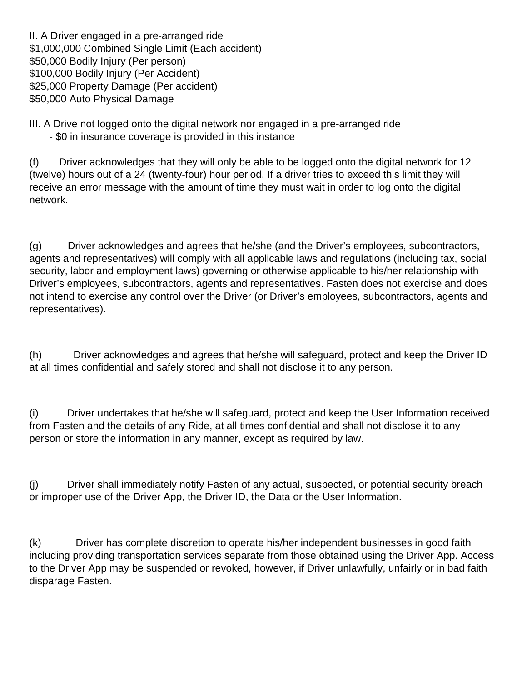II. A Driver engaged in a pre-arranged ride \$1,000,000 Combined Single Limit (Each accident) \$50,000 Bodily Injury (Per person) \$100,000 Bodily Injury (Per Accident) \$25,000 Property Damage (Per accident) \$50,000 Auto Physical Damage

III. A Drive not logged onto the digital network nor engaged in a pre-arranged ride

- \$0 in insurance coverage is provided in this instance

(f) Driver acknowledges that they will only be able to be logged onto the digital network for 12 (twelve) hours out of a 24 (twenty-four) hour period. If a driver tries to exceed this limit they will receive an error message with the amount of time they must wait in order to log onto the digital network.

(g) Driver acknowledges and agrees that he/she (and the Driver's employees, subcontractors, agents and representatives) will comply with all applicable laws and regulations (including tax, social security, labor and employment laws) governing or otherwise applicable to his/her relationship with Driver's employees, subcontractors, agents and representatives. Fasten does not exercise and does not intend to exercise any control over the Driver (or Driver's employees, subcontractors, agents and representatives).

(h) Driver acknowledges and agrees that he/she will safeguard, protect and keep the Driver ID at all times confidential and safely stored and shall not disclose it to any person.

(i) Driver undertakes that he/she will safeguard, protect and keep the User Information received from Fasten and the details of any Ride, at all times confidential and shall not disclose it to any person or store the information in any manner, except as required by law.

(j) Driver shall immediately notify Fasten of any actual, suspected, or potential security breach or improper use of the Driver App, the Driver ID, the Data or the User Information.

(k) Driver has complete discretion to operate his/her independent businesses in good faith including providing transportation services separate from those obtained using the Driver App. Access to the Driver App may be suspended or revoked, however, if Driver unlawfully, unfairly or in bad faith disparage Fasten.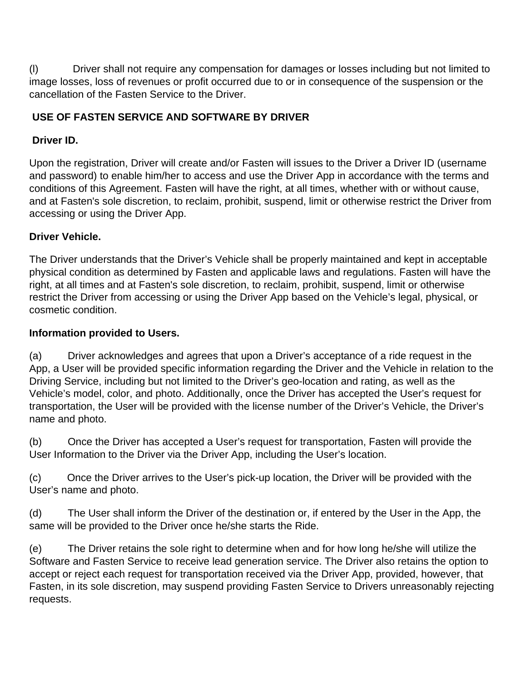(l) Driver shall not require any compensation for damages or losses including but not limited to image losses, loss of revenues or profit occurred due to or in consequence of the suspension or the cancellation of the Fasten Service to the Driver.

# **USE OF FASTEN SERVICE AND SOFTWARE BY DRIVER**

# **Driver ID.**

Upon the registration, Driver will create and/or Fasten will issues to the Driver a Driver ID (username and password) to enable him/her to access and use the Driver App in accordance with the terms and conditions of this Agreement. Fasten will have the right, at all times, whether with or without cause, and at Fasten's sole discretion, to reclaim, prohibit, suspend, limit or otherwise restrict the Driver from accessing or using the Driver App.

# **Driver Vehicle.**

The Driver understands that the Driver's Vehicle shall be properly maintained and kept in acceptable physical condition as determined by Fasten and applicable laws and regulations. Fasten will have the right, at all times and at Fasten's sole discretion, to reclaim, prohibit, suspend, limit or otherwise restrict the Driver from accessing or using the Driver App based on the Vehicle's legal, physical, or cosmetic condition.

## **Information provided to Users.**

(a) Driver acknowledges and agrees that upon a Driver's acceptance of a ride request in the App, a User will be provided specific information regarding the Driver and the Vehicle in relation to the Driving Service, including but not limited to the Driver's geo-location and rating, as well as the Vehicle's model, color, and photo. Additionally, once the Driver has accepted the User's request for transportation, the User will be provided with the license number of the Driver's Vehicle, the Driver's name and photo.

(b) Once the Driver has accepted a User's request for transportation, Fasten will provide the User Information to the Driver via the Driver App, including the User's location.

(c) Once the Driver arrives to the User's pick-up location, the Driver will be provided with the User's name and photo.

(d) The User shall inform the Driver of the destination or, if entered by the User in the App, the same will be provided to the Driver once he/she starts the Ride.

(e) The Driver retains the sole right to determine when and for how long he/she will utilize the Software and Fasten Service to receive lead generation service. The Driver also retains the option to accept or reject each request for transportation received via the Driver App, provided, however, that Fasten, in its sole discretion, may suspend providing Fasten Service to Drivers unreasonably rejecting requests.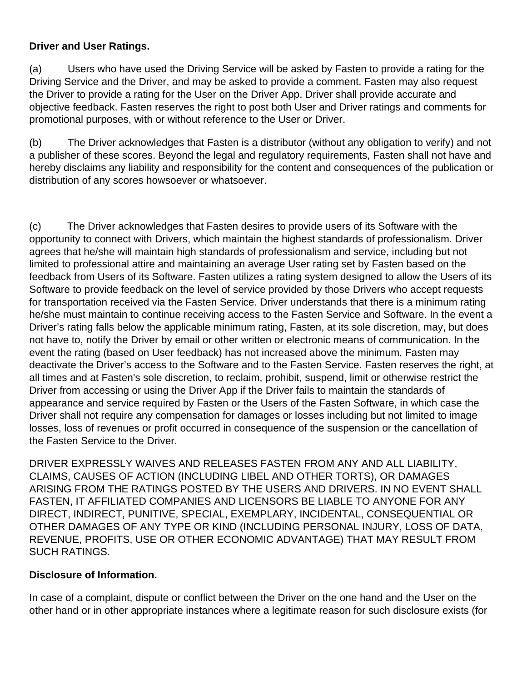### **Driver and User Ratings.**

(a) Users who have used the Driving Service will be asked by Fasten to provide a rating for the Driving Service and the Driver, and may be asked to provide a comment. Fasten may also request the Driver to provide a rating for the User on the Driver App. Driver shall provide accurate and objective feedback. Fasten reserves the right to post both User and Driver ratings and comments for promotional purposes, with or without reference to the User or Driver.

(b) The Driver acknowledges that Fasten is a distributor (without any obligation to verify) and not a publisher of these scores. Beyond the legal and regulatory requirements, Fasten shall not have and hereby disclaims any liability and responsibility for the content and consequences of the publication or distribution of any scores howsoever or whatsoever.

(c) The Driver acknowledges that Fasten desires to provide users of its Software with the opportunity to connect with Drivers, which maintain the highest standards of professionalism. Driver agrees that he/she will maintain high standards of professionalism and service, including but not limited to professional attire and maintaining an average User rating set by Fasten based on the feedback from Users of its Software. Fasten utilizes a rating system designed to allow the Users of its Software to provide feedback on the level of service provided by those Drivers who accept requests for transportation received via the Fasten Service. Driver understands that there is a minimum rating he/she must maintain to continue receiving access to the Fasten Service and Software. In the event a Driver's rating falls below the applicable minimum rating, Fasten, at its sole discretion, may, but does not have to, notify the Driver by email or other written or electronic means of communication. In the event the rating (based on User feedback) has not increased above the minimum, Fasten may deactivate the Driver's access to the Software and to the Fasten Service. Fasten reserves the right, at all times and at Fasten's sole discretion, to reclaim, prohibit, suspend, limit or otherwise restrict the Driver from accessing or using the Driver App if the Driver fails to maintain the standards of appearance and service required by Fasten or the Users of the Fasten Software, in which case the Driver shall not require any compensation for damages or losses including but not limited to image losses, loss of revenues or profit occurred in consequence of the suspension or the cancellation of the Fasten Service to the Driver.

DRIVER EXPRESSLY WAIVES AND RELEASES FASTEN FROM ANY AND ALL LIABILITY, CLAIMS, CAUSES OF ACTION (INCLUDING LIBEL AND OTHER TORTS), OR DAMAGES ARISING FROM THE RATINGS POSTED BY THE USERS AND DRIVERS. IN NO EVENT SHALL FASTEN, IT AFFILIATED COMPANIES AND LICENSORS BE LIABLE TO ANYONE FOR ANY DIRECT, INDIRECT, PUNITIVE, SPECIAL, EXEMPLARY, INCIDENTAL, CONSEQUENTIAL OR OTHER DAMAGES OF ANY TYPE OR KIND (INCLUDING PERSONAL INJURY, LOSS OF DATA, REVENUE, PROFITS, USE OR OTHER ECONOMIC ADVANTAGE) THAT MAY RESULT FROM SUCH RATINGS.

### **Disclosure of Information.**

In case of a complaint, dispute or conflict between the Driver on the one hand and the User on the other hand or in other appropriate instances where a legitimate reason for such disclosure exists (for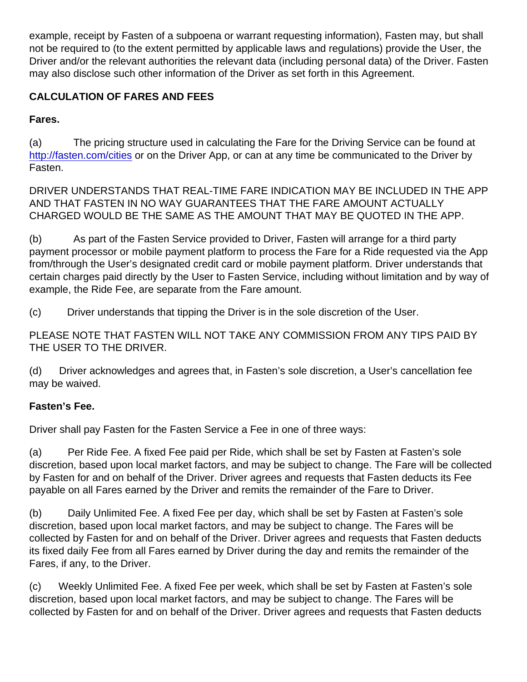example, receipt by Fasten of a subpoena or warrant requesting information), Fasten may, but shall not be required to (to the extent permitted by applicable laws and regulations) provide the User, the Driver and/or the relevant authorities the relevant data (including personal data) of the Driver. Fasten may also disclose such other information of the Driver as set forth in this Agreement.

# CALCULATION OF FARES AND FEES

Fares.

(a) The pricing structure used in calculating the Fare for the Driving Service can be found at <http://fasten.com/cities> or on the Driver App, or can at any time be communicated to the Driver by Fasten.

DRIVER UNDERSTANDS THAT REAL-TIME FARE INDICATION MAY BE INCLUDED IN THE APP AND THAT FASTEN IN NO WAY GUARANTEES THAT THE FARE AMOUNT ACTUALLY CHARGED WOULD BE THE SAME AS THE AMOUNT THAT MAY BE QUOTED IN THE APP.

(b) As part of the Fasten Service provided to Driver, Fasten will arrange for a third party payment processor or mobile payment platform to process the Fare for a Ride requested via the App from/through the User's designated credit card or mobile payment platform. Driver understands that certain charges paid directly by the User to Fasten Service, including without limitation and by way of example, the Ride Fee, are separate from the Fare amount.

(c) Driver understands that tipping the Driver is in the sole discretion of the User.

PLEASE NOTE THAT FASTEN WILL NOT TAKE ANY COMMISSION FROM ANY TIPS PAID BY THE USER TO THE DRIVER.

(d) Driver acknowledges and agrees that, in Fasten's sole discretion, a User's cancellation fee may be waived.

Fasten's Fee.

Driver shall pay Fasten for the Fasten Service a Fee in one of three ways:

(a) Per Ride Fee. A fixed Fee paid per Ride, which shall be set by Fasten at Fasten's sole discretion, based upon local market factors, and may be subject to change. The Fare will be collected by Fasten for and on behalf of the Driver. Driver agrees and requests that Fasten deducts its Fee payable on all Fares earned by the Driver and remits the remainder of the Fare to Driver.

(b) Daily Unlimited Fee. A fixed Fee per day, which shall be set by Fasten at Fasten's sole discretion, based upon local market factors, and may be subject to change. The Fares will be collected by Fasten for and on behalf of the Driver. Driver agrees and requests that Fasten deducts its fixed daily Fee from all Fares earned by Driver during the day and remits the remainder of the Fares, if any, to the Driver.

(c) Weekly Unlimited Fee. A fixed Fee per week, which shall be set by Fasten at Fasten's sole discretion, based upon local market factors, and may be subject to change. The Fares will be collected by Fasten for and on behalf of the Driver. Driver agrees and requests that Fasten deducts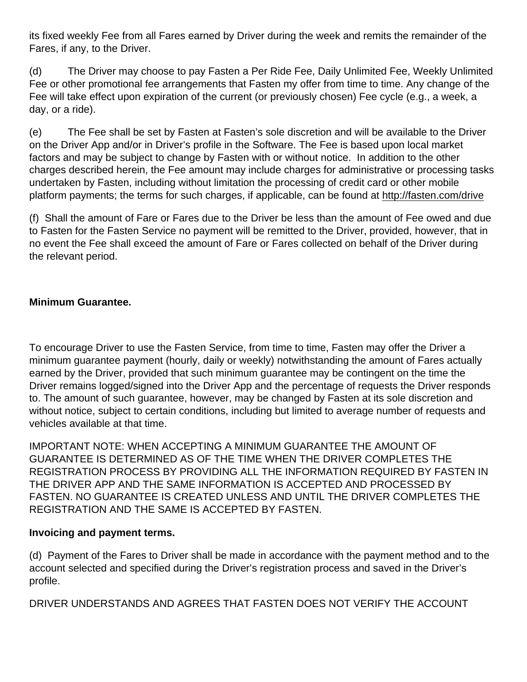its fixed weekly Fee from all Fares earned by Driver during the week and remits the remainder of the Fares, if any, to the Driver.

(d) The Driver may choose to pay Fasten a Per Ride Fee, Daily Unlimited Fee, Weekly Unlimited Fee or other promotional fee arrangements that Fasten my offer from time to time. Any change of the Fee will take effect upon expiration of the current (or previously chosen) Fee cycle (e.g., a week, a day, or a ride).

(e) The Fee shall be set by Fasten at Fasten's sole discretion and will be available to the Driver on the Driver App and/or in Driver's profile in the Software. The Fee is based upon local market factors and may be subject to change by Fasten with or without notice. In addition to the other charges described herein, the Fee amount may include charges for administrative or processing tasks undertaken by Fasten, including without limitation the processing of credit card or other mobile platform payments; the terms for such charges, if applicable, can be found at http://fasten.com/drive

(f) Shall the amount of Fare or Fares due to the Driver be less than the amount of Fee owed and due to Fasten for the Fasten Service no payment will be remitted to the Driver, provided, however, that in no event the Fee shall exceed the amount of Fare or Fares collected on behalf of the Driver during the relevant period.

### **Minimum Guarantee.**

To encourage Driver to use the Fasten Service, from time to time, Fasten may offer the Driver a minimum guarantee payment (hourly, daily or weekly) notwithstanding the amount of Fares actually earned by the Driver, provided that such minimum guarantee may be contingent on the time the Driver remains logged/signed into the Driver App and the percentage of requests the Driver responds to. The amount of such guarantee, however, may be changed by Fasten at its sole discretion and without notice, subject to certain conditions, including but limited to average number of requests and vehicles available at that time.

IMPORTANT NOTE: WHEN ACCEPTING A MINIMUM GUARANTEE THE AMOUNT OF GUARANTEE IS DETERMINED AS OF THE TIME WHEN THE DRIVER COMPLETES THE REGISTRATION PROCESS BY PROVIDING ALL THE INFORMATION REQUIRED BY FASTEN IN THE DRIVER APP AND THE SAME INFORMATION IS ACCEPTED AND PROCESSED BY FASTEN. NO GUARANTEE IS CREATED UNLESS AND UNTIL THE DRIVER COMPLETES THE REGISTRATION AND THE SAME IS ACCEPTED BY FASTEN.

#### **Invoicing and payment terms.**

(d) Payment of the Fares to Driver shall be made in accordance with the payment method and to the account selected and specified during the Driver's registration process and saved in the Driver's profile.

DRIVER UNDERSTANDS AND AGREES THAT FASTEN DOES NOT VERIFY THE ACCOUNT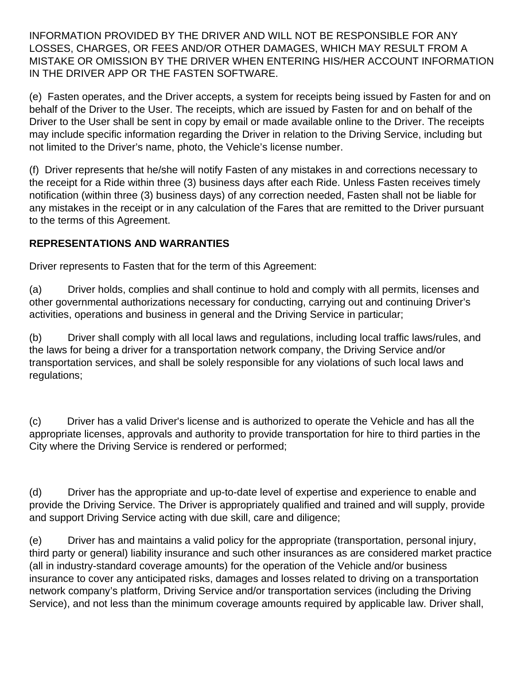INFORMATION PROVIDED BY THE DRIVER AND WILL NOT BE RESPONSIBLE FOR ANY LOSSES, CHARGES, OR FEES AND/OR OTHER DAMAGES, WHICH MAY RESULT FROM A MISTAKE OR OMISSION BY THE DRIVER WHEN ENTERING HIS/HER ACCOUNT INFORMATION IN THE DRIVER APP OR THE FASTEN SOFTWARE.

(e) Fasten operates, and the Driver accepts, a system for receipts being issued by Fasten for and on behalf of the Driver to the User. The receipts, which are issued by Fasten for and on behalf of the Driver to the User shall be sent in copy by email or made available online to the Driver. The receipts may include specific information regarding the Driver in relation to the Driving Service, including but not limited to the Driver's name, photo, the Vehicle's license number.

(f) Driver represents that he/she will notify Fasten of any mistakes in and corrections necessary to the receipt for a Ride within three (3) business days after each Ride. Unless Fasten receives timely notification (within three (3) business days) of any correction needed, Fasten shall not be liable for any mistakes in the receipt or in any calculation of the Fares that are remitted to the Driver pursuant to the terms of this Agreement.

## **REPRESENTATIONS AND WARRANTIES**

Driver represents to Fasten that for the term of this Agreement:

(a) Driver holds, complies and shall continue to hold and comply with all permits, licenses and other governmental authorizations necessary for conducting, carrying out and continuing Driver's activities, operations and business in general and the Driving Service in particular;

(b) Driver shall comply with all local laws and regulations, including local traffic laws/rules, and the laws for being a driver for a transportation network company, the Driving Service and/or transportation services, and shall be solely responsible for any violations of such local laws and regulations;

(c) Driver has a valid Driver's license and is authorized to operate the Vehicle and has all the appropriate licenses, approvals and authority to provide transportation for hire to third parties in the City where the Driving Service is rendered or performed;

(d) Driver has the appropriate and up-to-date level of expertise and experience to enable and provide the Driving Service. The Driver is appropriately qualified and trained and will supply, provide and support Driving Service acting with due skill, care and diligence;

(e) Driver has and maintains a valid policy for the appropriate (transportation, personal injury, third party or general) liability insurance and such other insurances as are considered market practice (all in industry-standard coverage amounts) for the operation of the Vehicle and/or business insurance to cover any anticipated risks, damages and losses related to driving on a transportation network company's platform, Driving Service and/or transportation services (including the Driving Service), and not less than the minimum coverage amounts required by applicable law. Driver shall,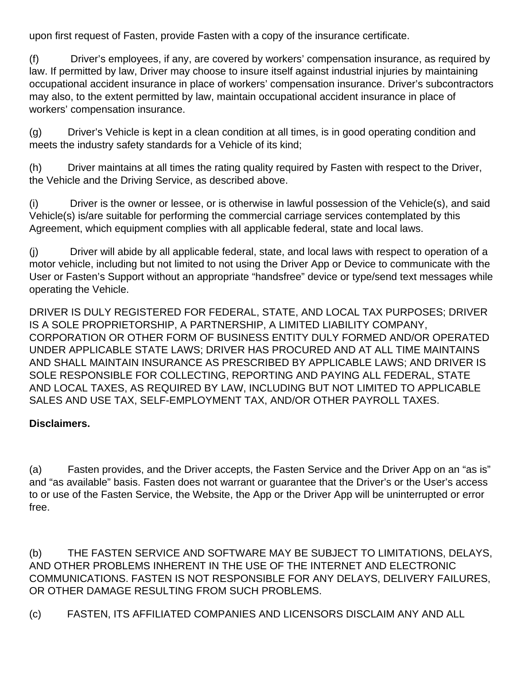upon first request of Fasten, provide Fasten with a copy of the insurance certificate.

(f) Driver's employees, if any, are covered by workers' compensation insurance, as required by law. If permitted by law, Driver may choose to insure itself against industrial injuries by maintaining occupational accident insurance in place of workers' compensation insurance. Driver's subcontractors may also, to the extent permitted by law, maintain occupational accident insurance in place of workers' compensation insurance.

(g) Driver's Vehicle is kept in a clean condition at all times, is in good operating condition and meets the industry safety standards for a Vehicle of its kind;

(h) Driver maintains at all times the rating quality required by Fasten with respect to the Driver, the Vehicle and the Driving Service, as described above.

(i) Driver is the owner or lessee, or is otherwise in lawful possession of the Vehicle(s), and said Vehicle(s) is/are suitable for performing the commercial carriage services contemplated by this Agreement, which equipment complies with all applicable federal, state and local laws.

(j) Driver will abide by all applicable federal, state, and local laws with respect to operation of a motor vehicle, including but not limited to not using the Driver App or Device to communicate with the User or Fasten's Support without an appropriate "handsfree" device or type/send text messages while operating the Vehicle.

DRIVER IS DULY REGISTERED FOR FEDERAL, STATE, AND LOCAL TAX PURPOSES; DRIVER IS A SOLE PROPRIETORSHIP, A PARTNERSHIP, A LIMITED LIABILITY COMPANY, CORPORATION OR OTHER FORM OF BUSINESS ENTITY DULY FORMED AND/OR OPERATED UNDER APPLICABLE STATE LAWS; DRIVER HAS PROCURED AND AT ALL TIME MAINTAINS AND SHALL MAINTAIN INSURANCE AS PRESCRIBED BY APPLICABLE LAWS; AND DRIVER IS SOLE RESPONSIBLE FOR COLLECTING, REPORTING AND PAYING ALL FEDERAL, STATE AND LOCAL TAXES, AS REQUIRED BY LAW, INCLUDING BUT NOT LIMITED TO APPLICABLE SALES AND USE TAX, SELF-EMPLOYMENT TAX, AND/OR OTHER PAYROLL TAXES.

## **Disclaimers.**

(a) Fasten provides, and the Driver accepts, the Fasten Service and the Driver App on an "as is" and "as available" basis. Fasten does not warrant or guarantee that the Driver's or the User's access to or use of the Fasten Service, the Website, the App or the Driver App will be uninterrupted or error free.

(b) THE FASTEN SERVICE AND SOFTWARE MAY BE SUBJECT TO LIMITATIONS, DELAYS, AND OTHER PROBLEMS INHERENT IN THE USE OF THE INTERNET AND ELECTRONIC COMMUNICATIONS. FASTEN IS NOT RESPONSIBLE FOR ANY DELAYS, DELIVERY FAILURES, OR OTHER DAMAGE RESULTING FROM SUCH PROBLEMS.

(c) FASTEN, ITS AFFILIATED COMPANIES AND LICENSORS DISCLAIM ANY AND ALL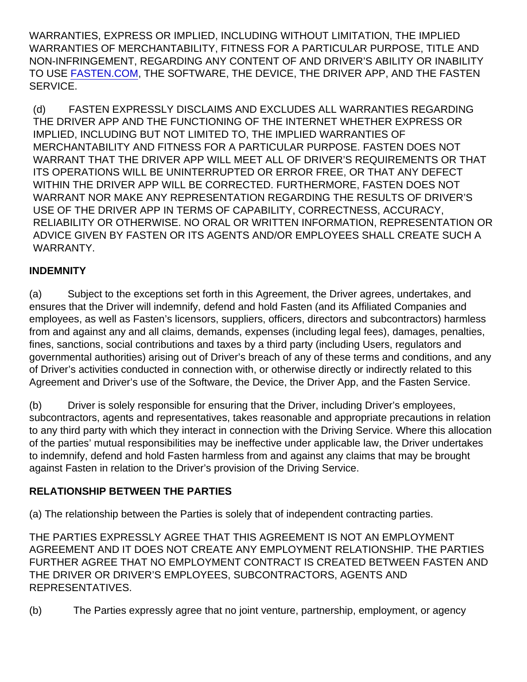WARRANTIES, EXPRESS OR IMPLIED, INCLUDING WITHOUT LIMITATION, THE IMPLIED WARRANTIES OF MERCHANTABILITY, FITNESS FOR A PARTICULAR PURPOSE, TITLE AND NON-INFRINGEMENT, REGARDING ANY CONTENT OF AND DRIVER'S ABILITY OR INABILITY TO USE [FASTEN.COM,](http://FASTEN.COM) THE SOFTWARE, THE DEVICE, THE DRIVER APP, AND THE FASTEN SERVICE.

(d) FASTEN EXPRESSLY DISCLAIMS AND EXCLUDES ALL WARRANTIES REGARDING THE DRIVER APP AND THE FUNCTIONING OF THE INTERNET WHETHER EXPRESS OR IMPLIED, INCLUDING BUT NOT LIMITED TO, THE IMPLIED WARRANTIES OF MERCHANTABILITY AND FITNESS FOR A PARTICULAR PURPOSE. FASTEN DOES NOT WARRANT THAT THE DRIVER APP WILL MEET ALL OF DRIVER'S REQUIREMENTS OR THAT ITS OPERATIONS WILL BE UNINTERRUPTED OR ERROR FREE, OR THAT ANY DEFECT WITHIN THE DRIVER APP WILL BE CORRECTED. FURTHERMORE, FASTEN DOES NOT WARRANT NOR MAKE ANY REPRESENTATION REGARDING THE RESULTS OF DRIVER'S USE OF THE DRIVER APP IN TERMS OF CAPABILITY, CORRECTNESS, ACCURACY, RELIABILITY OR OTHERWISE. NO ORAL OR WRITTEN INFORMATION, REPRESENTATION OR ADVICE GIVEN BY FASTEN OR ITS AGENTS AND/OR EMPLOYEES SHALL CREATE SUCH A WARRANTY.

### **INDEMNITY**

(a) Subject to the exceptions set forth in this Agreement, the Driver agrees, undertakes, and ensures that the Driver will indemnify, defend and hold Fasten (and its Affiliated Companies and employees, as well as Fasten's licensors, suppliers, officers, directors and subcontractors) harmless from and against any and all claims, demands, expenses (including legal fees), damages, penalties, fines, sanctions, social contributions and taxes by a third party (including Users, regulators and governmental authorities) arising out of Driver's breach of any of these terms and conditions, and any of Driver's activities conducted in connection with, or otherwise directly or indirectly related to this Agreement and Driver's use of the Software, the Device, the Driver App, and the Fasten Service.

(b) Driver is solely responsible for ensuring that the Driver, including Driver's employees, subcontractors, agents and representatives, takes reasonable and appropriate precautions in relation to any third party with which they interact in connection with the Driving Service. Where this allocation of the parties' mutual responsibilities may be ineffective under applicable law, the Driver undertakes to indemnify, defend and hold Fasten harmless from and against any claims that may be brought against Fasten in relation to the Driver's provision of the Driving Service.

### RELATIONSHIP BETWEEN THE PARTIES

(a) The relationship between the Parties is solely that of independent contracting parties.

THE PARTIES EXPRESSLY AGREE THAT THIS AGREEMENT IS NOT AN EMPLOYMENT AGREEMENT AND IT DOES NOT CREATE ANY EMPLOYMENT RELATIONSHIP. THE PARTIES FURTHER AGREE THAT NO EMPLOYMENT CONTRACT IS CREATED BETWEEN FASTEN AND THE DRIVER OR DRIVER'S EMPLOYEES, SUBCONTRACTORS, AGENTS AND REPRESENTATIVES.

(b) The Parties expressly agree that no joint venture, partnership, employment, or agency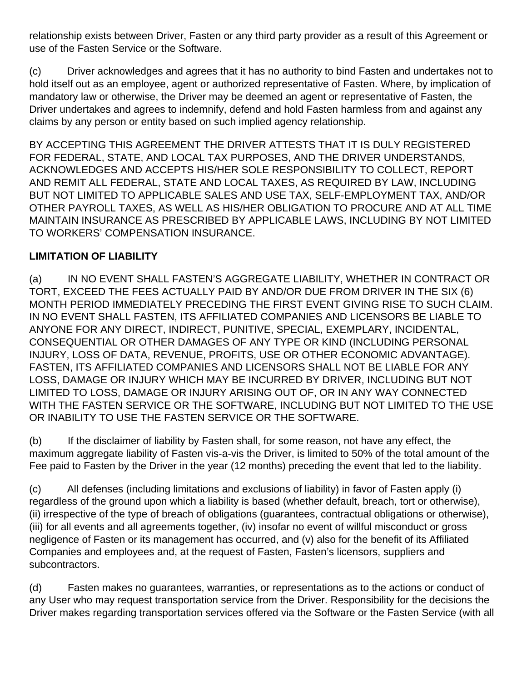relationship exists between Driver, Fasten or any third party provider as a result of this Agreement or use of the Fasten Service or the Software.

(c) Driver acknowledges and agrees that it has no authority to bind Fasten and undertakes not to hold itself out as an employee, agent or authorized representative of Fasten. Where, by implication of mandatory law or otherwise, the Driver may be deemed an agent or representative of Fasten, the Driver undertakes and agrees to indemnify, defend and hold Fasten harmless from and against any claims by any person or entity based on such implied agency relationship.

BY ACCEPTING THIS AGREEMENT THE DRIVER ATTESTS THAT IT IS DULY REGISTERED FOR FEDERAL, STATE, AND LOCAL TAX PURPOSES, AND THE DRIVER UNDERSTANDS, ACKNOWLEDGES AND ACCEPTS HIS/HER SOLE RESPONSIBILITY TO COLLECT, REPORT AND REMIT ALL FEDERAL, STATE AND LOCAL TAXES, AS REQUIRED BY LAW, INCLUDING BUT NOT LIMITED TO APPLICABLE SALES AND USE TAX, SELF-EMPLOYMENT TAX, AND/OR OTHER PAYROLL TAXES, AS WELL AS HIS/HER OBLIGATION TO PROCURE AND AT ALL TIME MAINTAIN INSURANCE AS PRESCRIBED BY APPLICABLE LAWS, INCLUDING BY NOT LIMITED TO WORKERS' COMPENSATION INSURANCE.

# **LIMITATION OF LIABILITY**

(a) IN NO EVENT SHALL FASTEN'S AGGREGATE LIABILITY, WHETHER IN CONTRACT OR TORT, EXCEED THE FEES ACTUALLY PAID BY AND/OR DUE FROM DRIVER IN THE SIX (6) MONTH PERIOD IMMEDIATELY PRECEDING THE FIRST EVENT GIVING RISE TO SUCH CLAIM. IN NO EVENT SHALL FASTEN, ITS AFFILIATED COMPANIES AND LICENSORS BE LIABLE TO ANYONE FOR ANY DIRECT, INDIRECT, PUNITIVE, SPECIAL, EXEMPLARY, INCIDENTAL, CONSEQUENTIAL OR OTHER DAMAGES OF ANY TYPE OR KIND (INCLUDING PERSONAL INJURY, LOSS OF DATA, REVENUE, PROFITS, USE OR OTHER ECONOMIC ADVANTAGE). FASTEN, ITS AFFILIATED COMPANIES AND LICENSORS SHALL NOT BE LIABLE FOR ANY LOSS, DAMAGE OR INJURY WHICH MAY BE INCURRED BY DRIVER, INCLUDING BUT NOT LIMITED TO LOSS, DAMAGE OR INJURY ARISING OUT OF, OR IN ANY WAY CONNECTED WITH THE FASTEN SERVICE OR THE SOFTWARE, INCLUDING BUT NOT LIMITED TO THE USE OR INABILITY TO USE THE FASTEN SERVICE OR THE SOFTWARE.

(b) If the disclaimer of liability by Fasten shall, for some reason, not have any effect, the maximum aggregate liability of Fasten vis-a-vis the Driver, is limited to 50% of the total amount of the Fee paid to Fasten by the Driver in the year (12 months) preceding the event that led to the liability.

(c) All defenses (including limitations and exclusions of liability) in favor of Fasten apply (i) regardless of the ground upon which a liability is based (whether default, breach, tort or otherwise), (ii) irrespective of the type of breach of obligations (guarantees, contractual obligations or otherwise), (iii) for all events and all agreements together, (iv) insofar no event of willful misconduct or gross negligence of Fasten or its management has occurred, and (v) also for the benefit of its Affiliated Companies and employees and, at the request of Fasten, Fasten's licensors, suppliers and subcontractors.

(d) Fasten makes no guarantees, warranties, or representations as to the actions or conduct of any User who may request transportation service from the Driver. Responsibility for the decisions the Driver makes regarding transportation services offered via the Software or the Fasten Service (with all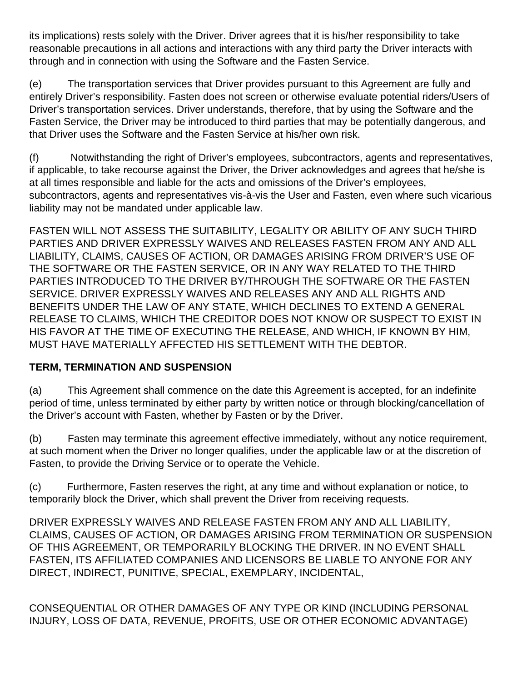its implications) rests solely with the Driver. Driver agrees that it is his/her responsibility to take reasonable precautions in all actions and interactions with any third party the Driver interacts with through and in connection with using the Software and the Fasten Service.

(e) The transportation services that Driver provides pursuant to this Agreement are fully and entirely Driver's responsibility. Fasten does not screen or otherwise evaluate potential riders/Users of Driver's transportation services. Driver understands, therefore, that by using the Software and the Fasten Service, the Driver may be introduced to third parties that may be potentially dangerous, and that Driver uses the Software and the Fasten Service at his/her own risk.

(f) Notwithstanding the right of Driver's employees, subcontractors, agents and representatives, if applicable, to take recourse against the Driver, the Driver acknowledges and agrees that he/she is at all times responsible and liable for the acts and omissions of the Driver's employees, subcontractors, agents and representatives vis-à-vis the User and Fasten, even where such vicarious liability may not be mandated under applicable law.

FASTEN WILL NOT ASSESS THE SUITABILITY, LEGALITY OR ABILITY OF ANY SUCH THIRD PARTIES AND DRIVER EXPRESSLY WAIVES AND RELEASES FASTEN FROM ANY AND ALL LIABILITY, CLAIMS, CAUSES OF ACTION, OR DAMAGES ARISING FROM DRIVER'S USE OF THE SOFTWARE OR THE FASTEN SERVICE, OR IN ANY WAY RELATED TO THE THIRD PARTIES INTRODUCED TO THE DRIVER BY/THROUGH THE SOFTWARE OR THE FASTEN SERVICE. DRIVER EXPRESSLY WAIVES AND RELEASES ANY AND ALL RIGHTS AND BENEFITS UNDER THE LAW OF ANY STATE, WHICH DECLINES TO EXTEND A GENERAL RELEASE TO CLAIMS, WHICH THE CREDITOR DOES NOT KNOW OR SUSPECT TO EXIST IN HIS FAVOR AT THE TIME OF EXECUTING THE RELEASE, AND WHICH, IF KNOWN BY HIM, MUST HAVE MATERIALLY AFFECTED HIS SETTLEMENT WITH THE DEBTOR.

## **TERM, TERMINATION AND SUSPENSION**

(a) This Agreement shall commence on the date this Agreement is accepted, for an indefinite period of time, unless terminated by either party by written notice or through blocking/cancellation of the Driver's account with Fasten, whether by Fasten or by the Driver.

(b) Fasten may terminate this agreement effective immediately, without any notice requirement, at such moment when the Driver no longer qualifies, under the applicable law or at the discretion of Fasten, to provide the Driving Service or to operate the Vehicle.

(c) Furthermore, Fasten reserves the right, at any time and without explanation or notice, to temporarily block the Driver, which shall prevent the Driver from receiving requests.

DRIVER EXPRESSLY WAIVES AND RELEASE FASTEN FROM ANY AND ALL LIABILITY, CLAIMS, CAUSES OF ACTION, OR DAMAGES ARISING FROM TERMINATION OR SUSPENSION OF THIS AGREEMENT, OR TEMPORARILY BLOCKING THE DRIVER. IN NO EVENT SHALL FASTEN, ITS AFFILIATED COMPANIES AND LICENSORS BE LIABLE TO ANYONE FOR ANY DIRECT, INDIRECT, PUNITIVE, SPECIAL, EXEMPLARY, INCIDENTAL,

CONSEQUENTIAL OR OTHER DAMAGES OF ANY TYPE OR KIND (INCLUDING PERSONAL INJURY, LOSS OF DATA, REVENUE, PROFITS, USE OR OTHER ECONOMIC ADVANTAGE)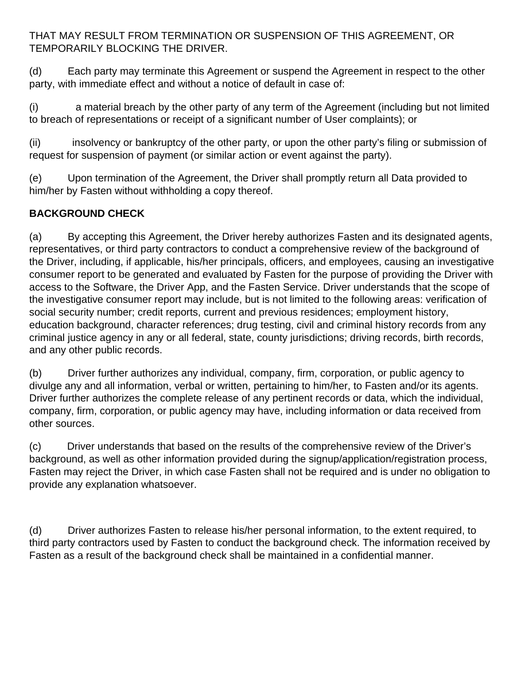THAT MAY RESULT FROM TERMINATION OR SUSPENSION OF THIS AGREEMENT, OR TEMPORARILY BLOCKING THE DRIVER.

(d) Each party may terminate this Agreement or suspend the Agreement in respect to the other party, with immediate effect and without a notice of default in case of:

(i) a material breach by the other party of any term of the Agreement (including but not limited to breach of representations or receipt of a significant number of User complaints); or

(ii) insolvency or bankruptcy of the other party, or upon the other party's filing or submission of request for suspension of payment (or similar action or event against the party).

(e) Upon termination of the Agreement, the Driver shall promptly return all Data provided to him/her by Fasten without withholding a copy thereof.

# **BACKGROUND CHECK**

(a) By accepting this Agreement, the Driver hereby authorizes Fasten and its designated agents, representatives, or third party contractors to conduct a comprehensive review of the background of the Driver, including, if applicable, his/her principals, officers, and employees, causing an investigative consumer report to be generated and evaluated by Fasten for the purpose of providing the Driver with access to the Software, the Driver App, and the Fasten Service. Driver understands that the scope of the investigative consumer report may include, but is not limited to the following areas: verification of social security number; credit reports, current and previous residences; employment history, education background, character references; drug testing, civil and criminal history records from any criminal justice agency in any or all federal, state, county jurisdictions; driving records, birth records, and any other public records.

(b) Driver further authorizes any individual, company, firm, corporation, or public agency to divulge any and all information, verbal or written, pertaining to him/her, to Fasten and/or its agents. Driver further authorizes the complete release of any pertinent records or data, which the individual, company, firm, corporation, or public agency may have, including information or data received from other sources.

(c) Driver understands that based on the results of the comprehensive review of the Driver's background, as well as other information provided during the signup/application/registration process, Fasten may reject the Driver, in which case Fasten shall not be required and is under no obligation to provide any explanation whatsoever.

(d) Driver authorizes Fasten to release his/her personal information, to the extent required, to third party contractors used by Fasten to conduct the background check. The information received by Fasten as a result of the background check shall be maintained in a confidential manner.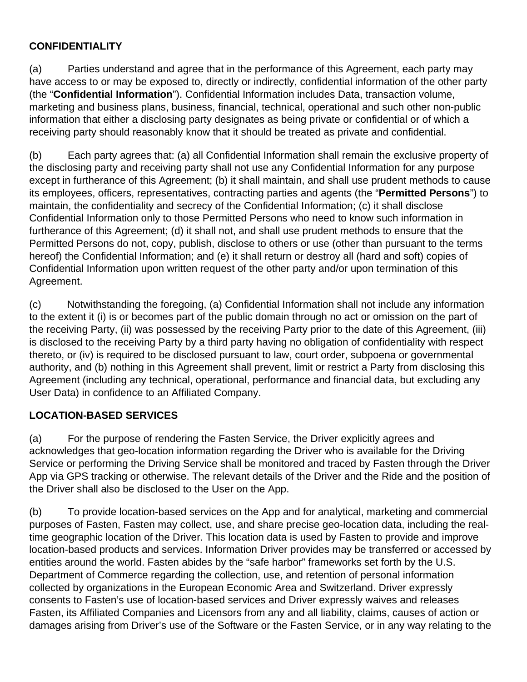## **CONFIDENTIALITY**

(a) Parties understand and agree that in the performance of this Agreement, each party may have access to or may be exposed to, directly or indirectly, confidential information of the other party (the "**Confidential Information**"). Confidential Information includes Data, transaction volume, marketing and business plans, business, financial, technical, operational and such other non-public information that either a disclosing party designates as being private or confidential or of which a receiving party should reasonably know that it should be treated as private and confidential.

(b) Each party agrees that: (a) all Confidential Information shall remain the exclusive property of the disclosing party and receiving party shall not use any Confidential Information for any purpose except in furtherance of this Agreement; (b) it shall maintain, and shall use prudent methods to cause its employees, officers, representatives, contracting parties and agents (the "**Permitted Persons**") to maintain, the confidentiality and secrecy of the Confidential Information; (c) it shall disclose Confidential Information only to those Permitted Persons who need to know such information in furtherance of this Agreement; (d) it shall not, and shall use prudent methods to ensure that the Permitted Persons do not, copy, publish, disclose to others or use (other than pursuant to the terms hereof) the Confidential Information; and (e) it shall return or destroy all (hard and soft) copies of Confidential Information upon written request of the other party and/or upon termination of this Agreement.

(c) Notwithstanding the foregoing, (a) Confidential Information shall not include any information to the extent it (i) is or becomes part of the public domain through no act or omission on the part of the receiving Party, (ii) was possessed by the receiving Party prior to the date of this Agreement, (iii) is disclosed to the receiving Party by a third party having no obligation of confidentiality with respect thereto, or (iv) is required to be disclosed pursuant to law, court order, subpoena or governmental authority, and (b) nothing in this Agreement shall prevent, limit or restrict a Party from disclosing this Agreement (including any technical, operational, performance and financial data, but excluding any User Data) in confidence to an Affiliated Company.

### **LOCATION-BASED SERVICES**

(a) For the purpose of rendering the Fasten Service, the Driver explicitly agrees and acknowledges that geo-location information regarding the Driver who is available for the Driving Service or performing the Driving Service shall be monitored and traced by Fasten through the Driver App via GPS tracking or otherwise. The relevant details of the Driver and the Ride and the position of the Driver shall also be disclosed to the User on the App.

(b) To provide location-based services on the App and for analytical, marketing and commercial purposes of Fasten, Fasten may collect, use, and share precise geo-location data, including the realtime geographic location of the Driver. This location data is used by Fasten to provide and improve location-based products and services. Information Driver provides may be transferred or accessed by entities around the world. Fasten abides by the "safe harbor" frameworks set forth by the U.S. Department of Commerce regarding the collection, use, and retention of personal information collected by organizations in the European Economic Area and Switzerland. Driver expressly consents to Fasten's use of location-based services and Driver expressly waives and releases Fasten, its Affiliated Companies and Licensors from any and all liability, claims, causes of action or damages arising from Driver's use of the Software or the Fasten Service, or in any way relating to the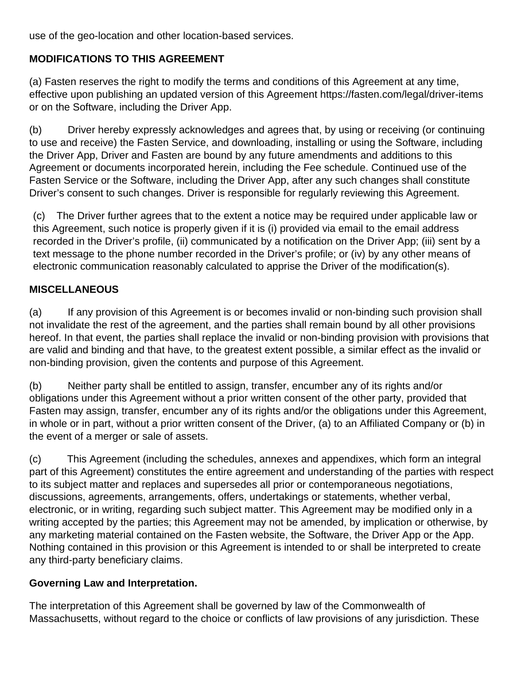use of the geo-location and other location-based services.

# **MODIFICATIONS TO THIS AGREEMENT**

(a) Fasten reserves the right to modify the terms and conditions of this Agreement at any time, effective upon publishing an updated version of this Agreement https://fasten.com/legal/driver-items or on the Software, including the Driver App.

(b) Driver hereby expressly acknowledges and agrees that, by using or receiving (or continuing to use and receive) the Fasten Service, and downloading, installing or using the Software, including the Driver App, Driver and Fasten are bound by any future amendments and additions to this Agreement or documents incorporated herein, including the Fee schedule. Continued use of the Fasten Service or the Software, including the Driver App, after any such changes shall constitute Driver's consent to such changes. Driver is responsible for regularly reviewing this Agreement.

(c) The Driver further agrees that to the extent a notice may be required under applicable law or this Agreement, such notice is properly given if it is (i) provided via email to the email address recorded in the Driver's profile, (ii) communicated by a notification on the Driver App; (iii) sent by a text message to the phone number recorded in the Driver's profile; or (iv) by any other means of electronic communication reasonably calculated to apprise the Driver of the modification(s).

## **MISCELLANEOUS**

(a) If any provision of this Agreement is or becomes invalid or non-binding such provision shall not invalidate the rest of the agreement, and the parties shall remain bound by all other provisions hereof. In that event, the parties shall replace the invalid or non-binding provision with provisions that are valid and binding and that have, to the greatest extent possible, a similar effect as the invalid or non-binding provision, given the contents and purpose of this Agreement.

(b) Neither party shall be entitled to assign, transfer, encumber any of its rights and/or obligations under this Agreement without a prior written consent of the other party, provided that Fasten may assign, transfer, encumber any of its rights and/or the obligations under this Agreement, in whole or in part, without a prior written consent of the Driver, (a) to an Affiliated Company or (b) in the event of a merger or sale of assets.

(c) This Agreement (including the schedules, annexes and appendixes, which form an integral part of this Agreement) constitutes the entire agreement and understanding of the parties with respect to its subject matter and replaces and supersedes all prior or contemporaneous negotiations, discussions, agreements, arrangements, offers, undertakings or statements, whether verbal, electronic, or in writing, regarding such subject matter. This Agreement may be modified only in a writing accepted by the parties; this Agreement may not be amended, by implication or otherwise, by any marketing material contained on the Fasten website, the Software, the Driver App or the App. Nothing contained in this provision or this Agreement is intended to or shall be interpreted to create any third-party beneficiary claims.

## **Governing Law and Interpretation.**

The interpretation of this Agreement shall be governed by law of the Commonwealth of Massachusetts, without regard to the choice or conflicts of law provisions of any jurisdiction. These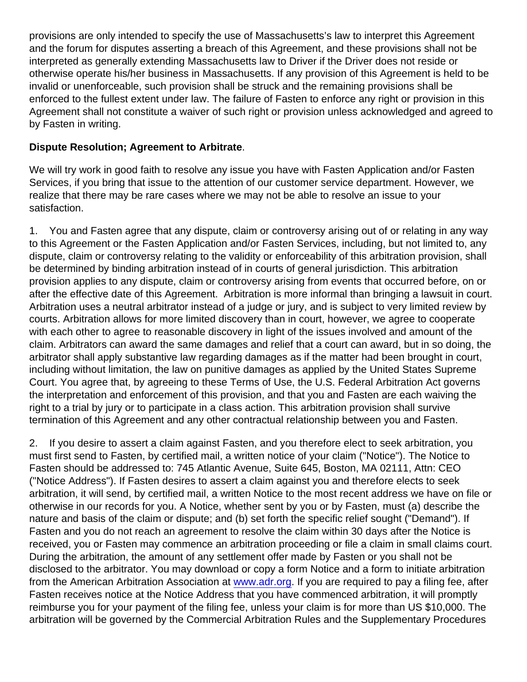provisions are only intended to specify the use of Massachusetts's law to interpret this Agreement and the forum for disputes asserting a breach of this Agreement, and these provisions shall not be interpreted as generally extending Massachusetts law to Driver if the Driver does not reside or otherwise operate his/her business in Massachusetts. If any provision of this Agreement is held to be invalid or unenforceable, such provision shall be struck and the remaining provisions shall be enforced to the fullest extent under law. The failure of Fasten to enforce any right or provision in this Agreement shall not constitute a waiver of such right or provision unless acknowledged and agreed to by Fasten in writing.

Dispute Resolution; Agreement to Arbitrate .

We will try work in good faith to resolve any issue you have with Fasten Application and/or Fasten Services, if you bring that issue to the attention of our customer service department. However, we realize that there may be rare cases where we may not be able to resolve an issue to your satisfaction.

1. You and Fasten agree that any dispute, claim or controversy arising out of or relating in any way to this Agreement or the Fasten Application and/or Fasten Services, including, but not limited to, any dispute, claim or controversy relating to the validity or enforceability of this arbitration provision, shall be determined by binding arbitration instead of in courts of general jurisdiction. This arbitration provision applies to any dispute, claim or controversy arising from events that occurred before, on or after the effective date of this Agreement. Arbitration is more informal than bringing a lawsuit in court. Arbitration uses a neutral arbitrator instead of a judge or jury, and is subject to very limited review by courts. Arbitration allows for more limited discovery than in court, however, we agree to cooperate with each other to agree to reasonable discovery in light of the issues involved and amount of the claim. Arbitrators can award the same damages and relief that a court can award, but in so doing, the arbitrator shall apply substantive law regarding damages as if the matter had been brought in court, including without limitation, the law on punitive damages as applied by the United States Supreme Court. You agree that, by agreeing to these Terms of Use, the U.S. Federal Arbitration Act governs the interpretation and enforcement of this provision, and that you and Fasten are each waiving the right to a trial by jury or to participate in a class action. This arbitration provision shall survive termination of this Agreement and any other contractual relationship between you and Fasten.

2. If you desire to assert a claim against Fasten, and you therefore elect to seek arbitration, you must first send to Fasten, by certified mail, a written notice of your claim ("Notice"). The Notice to Fasten should be addressed to: 745 Atlantic Avenue, Suite 645, Boston, MA 02111, Attn: CEO ("Notice Address"). If Fasten desires to assert a claim against you and therefore elects to seek arbitration, it will send, by certified mail, a written Notice to the most recent address we have on file or otherwise in our records for you. A Notice, whether sent by you or by Fasten, must (a) describe the nature and basis of the claim or dispute; and (b) set forth the specific relief sought ("Demand"). If Fasten and you do not reach an agreement to resolve the claim within 30 days after the Notice is received, you or Fasten may commence an arbitration proceeding or file a claim in small claims court. During the arbitration, the amount of any settlement offer made by Fasten or you shall not be disclosed to the arbitrator. You may download or copy a form Notice and a form to initiate arbitration from the American Arbitration Association at [www.adr.org.](http://www.adr.org) If you are required to pay a filing fee, after Fasten receives notice at the Notice Address that you have commenced arbitration, it will promptly reimburse you for your payment of the filing fee, unless your claim is for more than US \$10,000. The arbitration will be governed by the Commercial Arbitration Rules and the Supplementary Procedures